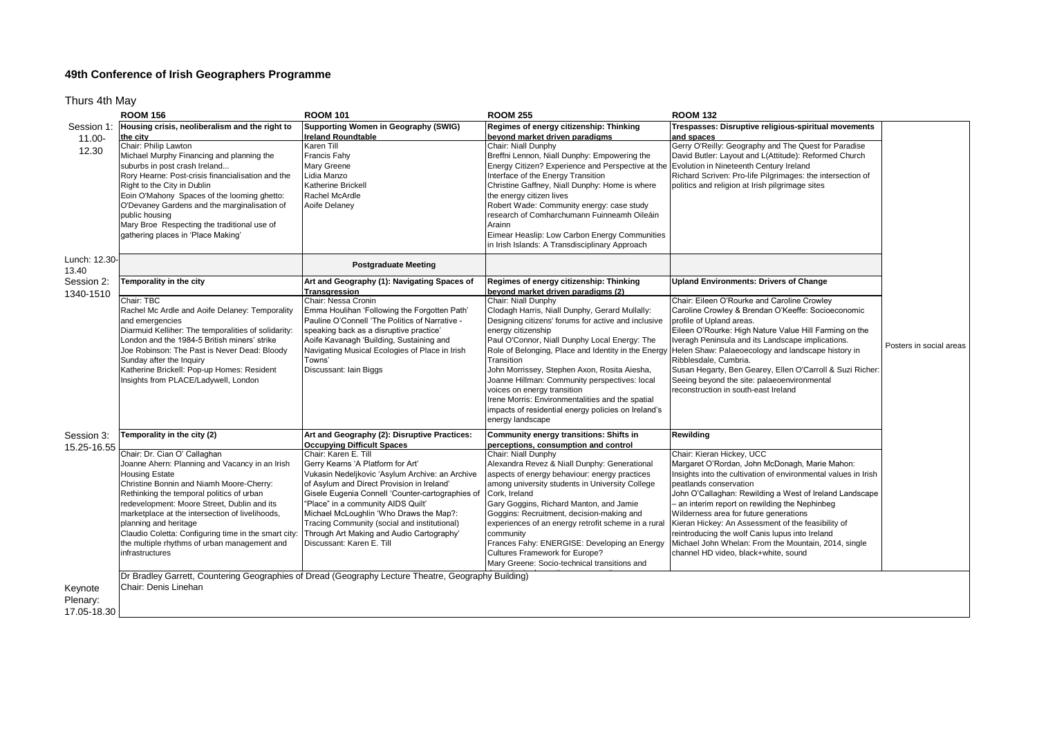## **49th Conference of Irish Geographers Programme**

Thurs 4th May

|                                    | <b>ROOM 156</b>                                                                                                                                                                                                                                                                                                                                                                                                                                            | <b>ROOM 101</b>                                                                                                                                                                                                                                                                                                                                                                                                           | <b>ROOM 255</b>                                                                                                                                                                                                                                                                                                                                                                                                                                                                                                                                                                                                          | <b>ROOM 132</b>                                                                                                                                                                                                                                                                                                                                                                                                                                                                                                                         |                         |
|------------------------------------|------------------------------------------------------------------------------------------------------------------------------------------------------------------------------------------------------------------------------------------------------------------------------------------------------------------------------------------------------------------------------------------------------------------------------------------------------------|---------------------------------------------------------------------------------------------------------------------------------------------------------------------------------------------------------------------------------------------------------------------------------------------------------------------------------------------------------------------------------------------------------------------------|--------------------------------------------------------------------------------------------------------------------------------------------------------------------------------------------------------------------------------------------------------------------------------------------------------------------------------------------------------------------------------------------------------------------------------------------------------------------------------------------------------------------------------------------------------------------------------------------------------------------------|-----------------------------------------------------------------------------------------------------------------------------------------------------------------------------------------------------------------------------------------------------------------------------------------------------------------------------------------------------------------------------------------------------------------------------------------------------------------------------------------------------------------------------------------|-------------------------|
| Session 1<br>11.00-<br>12.30       | Housing crisis, neoliberalism and the right to<br>the city<br>Chair: Philip Lawton<br>Michael Murphy Financing and planning the<br>suburbs in post crash Ireland<br>Rory Hearne: Post-crisis financialisation and the<br>Right to the City in Dublin<br>Eoin O'Mahony Spaces of the looming ghetto:<br>O'Devaney Gardens and the marginalisation of<br>public housing<br>Mary Broe Respecting the traditional use of<br>gathering places in 'Place Making' | Supporting Women in Geography (SWIG)<br><b>Ireland Roundtable</b><br>Karen Till<br>Francis Fahy<br><b>Mary Greene</b><br>Lidia Manzo<br><b>Katherine Brickell</b><br>Rachel McArdle<br>Aoife Delaney                                                                                                                                                                                                                      | Regimes of energy citizenship: Thinking<br>beyond market driven paradigms<br>Chair: Niall Dunphy<br>Breffni Lennon, Niall Dunphy: Empowering the<br>Energy Citizen? Experience and Perspective at the Evolution in Nineteenth Century Ireland<br>Interface of the Energy Transition<br>Christine Gaffney, Niall Dunphy: Home is where<br>the energy citizen lives<br>Robert Wade: Community energy: case study<br>research of Comharchumann Fuinneamh Oileáin<br>Arainn<br>Eimear Heaslip: Low Carbon Energy Communities<br>in Irish Islands: A Transdisciplinary Approach                                               | Trespasses: Disruptive religious-spiritual movements<br>and spaces<br>Gerry O'Reilly: Geography and The Quest for Paradise<br>David Butler: Layout and L(Attitude): Reformed Church<br>Richard Scriven: Pro-life Pilgrimages: the intersection of<br>politics and religion at Irish pilgrimage sites                                                                                                                                                                                                                                    |                         |
| Lunch: 12.30-<br>13.40             |                                                                                                                                                                                                                                                                                                                                                                                                                                                            | <b>Postgraduate Meeting</b>                                                                                                                                                                                                                                                                                                                                                                                               |                                                                                                                                                                                                                                                                                                                                                                                                                                                                                                                                                                                                                          |                                                                                                                                                                                                                                                                                                                                                                                                                                                                                                                                         |                         |
| Session 2:<br>1340-1510            | Temporality in the city<br>Chair: TBC<br>Rachel Mc Ardle and Aoife Delaney: Temporality<br>and emergencies<br>Diarmuid Kelliher: The temporalities of solidarity:<br>London and the 1984-5 British miners' strike<br>Joe Robinson: The Past is Never Dead: Bloody<br>Sunday after the Inquiry<br>Katherine Brickell: Pop-up Homes: Resident<br>Insights from PLACE/Ladywell, London                                                                        | Art and Geography (1): Navigating Spaces of<br>Transgression<br>Chair: Nessa Cronin<br>Emma Houlihan 'Following the Forgotten Path'<br>Pauline O'Connell 'The Politics of Narrative -<br>speaking back as a disruptive practice'<br>Aoife Kavanagh 'Building, Sustaining and<br>Navigating Musical Ecologies of Place in Irish<br>Towns'<br>Discussant: Iain Biggs                                                        | Regimes of energy citizenship: Thinking<br>beyond market driven paradigms (2)<br>Chair: Niall Dunphy<br>Clodagh Harris, Niall Dunphy, Gerard Mullally:<br>Designing citizens' forums for active and inclusive<br>energy citizenship<br>Paul O'Connor, Niall Dunphy Local Energy: The<br>Role of Belonging, Place and Identity in the Energy<br>Transition<br>John Morrissey, Stephen Axon, Rosita Aiesha,<br>Joanne Hillman: Community perspectives: local<br>voices on energy transition<br>Irene Morris: Environmentalities and the spatial<br>impacts of residential energy policies on Ireland's<br>energy landscape | <b>Upland Environments: Drivers of Change</b><br>Chair: Eileen O'Rourke and Caroline Crowley<br>Caroline Crowley & Brendan O'Keeffe: Socioeconomic<br>profile of Upland areas.<br>Eileen O'Rourke: High Nature Value Hill Farming on the<br>Iveragh Peninsula and its Landscape implications.<br>Helen Shaw: Palaeoecology and landscape history in<br>Ribblesdale, Cumbria.<br>Susan Hegarty, Ben Gearey, Ellen O'Carroll & Suzi Richer:<br>Seeing beyond the site: palaeoenvironmental<br>reconstruction in south-east Ireland        | Posters in social areas |
| Session 3:<br>15.25-16.55          | Temporality in the city (2)                                                                                                                                                                                                                                                                                                                                                                                                                                | Art and Geography (2): Disruptive Practices:<br><b>Occupying Difficult Spaces</b>                                                                                                                                                                                                                                                                                                                                         | Community energy transitions: Shifts in<br>perceptions, consumption and control                                                                                                                                                                                                                                                                                                                                                                                                                                                                                                                                          | Rewilding                                                                                                                                                                                                                                                                                                                                                                                                                                                                                                                               |                         |
|                                    | Chair: Dr. Cian O' Callaghan<br>Joanne Ahern: Planning and Vacancy in an Irish<br><b>Housing Estate</b><br>Christine Bonnin and Niamh Moore-Cherry:<br>Rethinking the temporal politics of urban<br>redevelopment: Moore Street, Dublin and its<br>marketplace at the intersection of livelihoods,<br>planning and heritage<br>Claudio Coletta: Configuring time in the smart city:<br>the multiple rhythms of urban management and<br>infrastructures     | Chair: Karen E. Till<br>Gerry Kearns 'A Platform for Art'<br>Vukasin Nedeljkovic 'Asylum Archive: an Archive<br>of Asylum and Direct Provision in Ireland'<br>Gisele Eugenia Connell 'Counter-cartographies of<br>"Place" in a community AIDS Quilt"<br>Michael McLoughlin 'Who Draws the Map?:<br>Tracing Community (social and institutional)<br>Through Art Making and Audio Cartography'<br>Discussant: Karen E. Till | Chair: Niall Dunphy<br>Alexandra Revez & Niall Dunphy: Generational<br>aspects of energy behaviour: energy practices<br>among university students in University College<br>Cork, Ireland<br>Gary Goggins, Richard Manton, and Jamie<br>Goggins: Recruitment, decision-making and<br>experiences of an energy retrofit scheme in a rural<br>community<br>Frances Fahy: ENERGISE: Developing an Energy<br>Cultures Framework for Europe?<br>Mary Greene: Socio-technical transitions and                                                                                                                                   | Chair: Kieran Hickey, UCC<br>Margaret O'Rordan, John McDonagh, Marie Mahon:<br>Insights into the cultivation of environmental values in Irish<br>peatlands conservation<br>John O'Callaghan: Rewilding a West of Ireland Landscape<br>- an interim report on rewilding the Nephinbeg<br>Wilderness area for future generations<br>Kieran Hickey: An Assessment of the feasibility of<br>reintroducing the wolf Canis lupus into Ireland<br>Michael John Whelan: From the Mountain, 2014, single<br>channel HD video, black+white, sound |                         |
| Keynote<br>Plenary:<br>17.05-18.30 | Dr Bradley Garrett, Countering Geographies of Dread (Geography Lecture Theatre, Geography Building)<br>Chair: Denis Linehan                                                                                                                                                                                                                                                                                                                                |                                                                                                                                                                                                                                                                                                                                                                                                                           |                                                                                                                                                                                                                                                                                                                                                                                                                                                                                                                                                                                                                          |                                                                                                                                                                                                                                                                                                                                                                                                                                                                                                                                         |                         |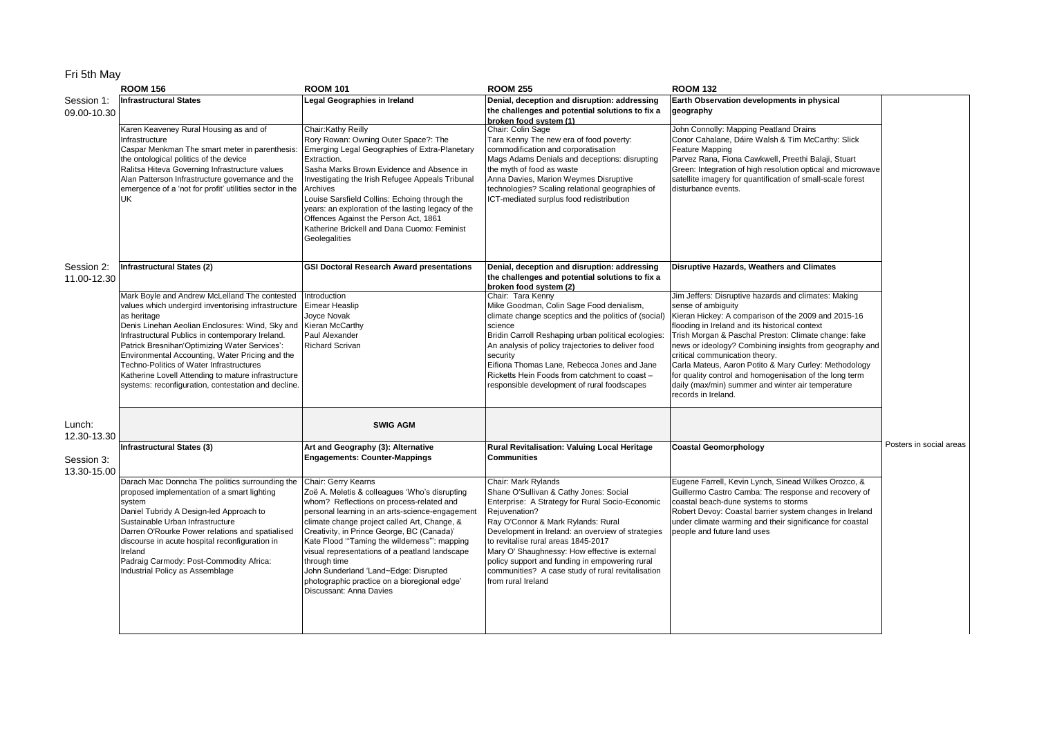## Fri 5th May

|                           | <b>ROOM 156</b>                                                                                                                                                                                                                                                                                                                                                                                                                                                                          | <b>ROOM 101</b>                                                                                                                                                                                                                                                                                                                                                                                                                                                                                        | <b>ROOM 255</b>                                                                                                                                                                                                                                                                                                                                                                                                                                    | <b>ROOM 132</b>                                                                                                                                                                                                                                                                                                                                                                                                                                                                                                                          |                         |
|---------------------------|------------------------------------------------------------------------------------------------------------------------------------------------------------------------------------------------------------------------------------------------------------------------------------------------------------------------------------------------------------------------------------------------------------------------------------------------------------------------------------------|--------------------------------------------------------------------------------------------------------------------------------------------------------------------------------------------------------------------------------------------------------------------------------------------------------------------------------------------------------------------------------------------------------------------------------------------------------------------------------------------------------|----------------------------------------------------------------------------------------------------------------------------------------------------------------------------------------------------------------------------------------------------------------------------------------------------------------------------------------------------------------------------------------------------------------------------------------------------|------------------------------------------------------------------------------------------------------------------------------------------------------------------------------------------------------------------------------------------------------------------------------------------------------------------------------------------------------------------------------------------------------------------------------------------------------------------------------------------------------------------------------------------|-------------------------|
| Session 1:<br>09.00-10.30 | <b>Infrastructural States</b>                                                                                                                                                                                                                                                                                                                                                                                                                                                            | Legal Geographies in Ireland                                                                                                                                                                                                                                                                                                                                                                                                                                                                           | Denial, deception and disruption: addressing<br>the challenges and potential solutions to fix a<br>broken food system (1)                                                                                                                                                                                                                                                                                                                          | Earth Observation developments in physical<br>geography                                                                                                                                                                                                                                                                                                                                                                                                                                                                                  |                         |
|                           | Karen Keaveney Rural Housing as and of<br>nfrastructure<br>Caspar Menkman The smart meter in parenthesis:<br>the ontological politics of the device<br>Ralitsa Hiteva Governing Infrastructure values<br>Alan Patterson Infrastructure governance and the<br>emergence of a 'not for profit' utilities sector in the<br>UK                                                                                                                                                               | Chair:Kathy Reilly<br>Rory Rowan: Owning Outer Space?: The<br>Emerging Legal Geographies of Extra-Planetary<br>Extraction.<br>Sasha Marks Brown Evidence and Absence in<br>Investigating the Irish Refugee Appeals Tribunal<br>Archives<br>Louise Sarsfield Collins: Echoing through the<br>years: an exploration of the lasting legacy of the<br>Offences Against the Person Act, 1861<br>Katherine Brickell and Dana Cuomo: Feminist<br>Geolegalities                                                | Chair: Colin Sage<br>Tara Kenny The new era of food poverty:<br>commodification and corporatisation<br>Mags Adams Denials and deceptions: disrupting<br>the myth of food as waste<br>Anna Davies, Marion Weymes Disruptive<br>technologies? Scaling relational geographies of<br>ICT-mediated surplus food redistribution                                                                                                                          | John Connolly: Mapping Peatland Drains<br>Conor Cahalane, Dáire Walsh & Tim McCarthy: Slick<br>Feature Mapping<br>Parvez Rana, Fiona Cawkwell, Preethi Balaji, Stuart<br>Green: Integration of high resolution optical and microwave<br>satellite imagery for quantification of small-scale forest<br>disturbance events.                                                                                                                                                                                                                |                         |
| Session 2:<br>11.00-12.30 | Infrastructural States (2)                                                                                                                                                                                                                                                                                                                                                                                                                                                               | <b>GSI Doctoral Research Award presentations</b>                                                                                                                                                                                                                                                                                                                                                                                                                                                       | Denial, deception and disruption: addressing<br>the challenges and potential solutions to fix a                                                                                                                                                                                                                                                                                                                                                    | Disruptive Hazards, Weathers and Climates                                                                                                                                                                                                                                                                                                                                                                                                                                                                                                |                         |
|                           | Mark Boyle and Andrew McLelland The contested<br>values which undergird inventorising infrastructure<br>as heritage<br>Denis Linehan Aeolian Enclosures: Wind, Sky and<br>Infrastructural Publics in contemporary Ireland.<br>Patrick Bresnihan'Optimizing Water Services':<br>Environmental Accounting, Water Pricing and the<br>Techno-Politics of Water Infrastructures<br>Katherine Lovell Attending to mature infrastructure<br>systems: reconfiguration, contestation and decline. | Introduction<br>Eimear Heaslip<br>Joyce Novak<br>Kieran McCarthy<br>Paul Alexander<br>Richard Scrivan                                                                                                                                                                                                                                                                                                                                                                                                  | broken food system (2)<br>Chair: Tara Kenny<br>Mike Goodman, Colin Sage Food denialism,<br>climate change sceptics and the politics of (social)<br>science<br>Bridin Carroll Reshaping urban political ecologies:<br>An analysis of policy trajectories to deliver food<br>security<br>Eifiona Thomas Lane, Rebecca Jones and Jane<br>Ricketts Hein Foods from catchment to coast -<br>responsible development of rural foodscapes                 | Jim Jeffers: Disruptive hazards and climates: Making<br>sense of ambiguity<br>Kieran Hickey: A comparison of the 2009 and 2015-16<br>flooding in Ireland and its historical context<br>Trish Morgan & Paschal Preston: Climate change: fake<br>news or ideology? Combining insights from geography and<br>critical communication theory.<br>Carla Mateus, Aaron Potito & Mary Curley: Methodology<br>for quality control and homogenisation of the long term<br>daily (max/min) summer and winter air temperature<br>records in Ireland. |                         |
| Lunch:<br>12.30-13.30     |                                                                                                                                                                                                                                                                                                                                                                                                                                                                                          | <b>SWIG AGM</b>                                                                                                                                                                                                                                                                                                                                                                                                                                                                                        |                                                                                                                                                                                                                                                                                                                                                                                                                                                    |                                                                                                                                                                                                                                                                                                                                                                                                                                                                                                                                          |                         |
| Session 3:<br>13.30-15.00 | Infrastructural States (3)                                                                                                                                                                                                                                                                                                                                                                                                                                                               | Art and Geography (3): Alternative<br><b>Engagements: Counter-Mappings</b>                                                                                                                                                                                                                                                                                                                                                                                                                             | Rural Revitalisation: Valuing Local Heritage<br><b>Communities</b>                                                                                                                                                                                                                                                                                                                                                                                 | <b>Coastal Geomorphology</b>                                                                                                                                                                                                                                                                                                                                                                                                                                                                                                             | Posters in social areas |
|                           | Darach Mac Donncha The politics surrounding the<br>proposed implementation of a smart lighting<br>system<br>Daniel Tubridy A Design-led Approach to<br>Sustainable Urban Infrastructure<br>Darren O'Rourke Power relations and spatialised<br>discourse in acute hospital reconfiguration in<br>Ireland<br>Padraig Carmody: Post-Commodity Africa:<br>ndustrial Policy as Assemblage                                                                                                     | Chair: Gerry Kearns<br>Zoë A. Meletis & colleagues 'Who's disrupting<br>whom? Reflections on process-related and<br>personal learning in an arts-science-engagement<br>climate change project called Art, Change, &<br>Creativity, in Prince George, BC (Canada)'<br>Kate Flood "Taming the wilderness": mapping<br>visual representations of a peatland landscape<br>through time<br>John Sunderland 'Land~Edge: Disrupted<br>photographic practice on a bioregional edge'<br>Discussant: Anna Davies | Chair: Mark Rylands<br>Shane O'Sullivan & Cathy Jones: Social<br>Enterprise: A Strategy for Rural Socio-Economic<br>Rejuvenation?<br>Ray O'Connor & Mark Rylands: Rural<br>Development in Ireland: an overview of strategies<br>to revitalise rural areas 1845-2017<br>Mary O' Shaughnessy: How effective is external<br>policy support and funding in empowering rural<br>communities? A case study of rural revitalisation<br>from rural Ireland | Eugene Farrell, Kevin Lynch, Sinead Wilkes Orozco, &<br>Guillermo Castro Camba: The response and recovery of<br>coastal beach-dune systems to storms<br>Robert Devoy: Coastal barrier system changes in Ireland<br>under climate warming and their significance for coastal<br>people and future land uses                                                                                                                                                                                                                               |                         |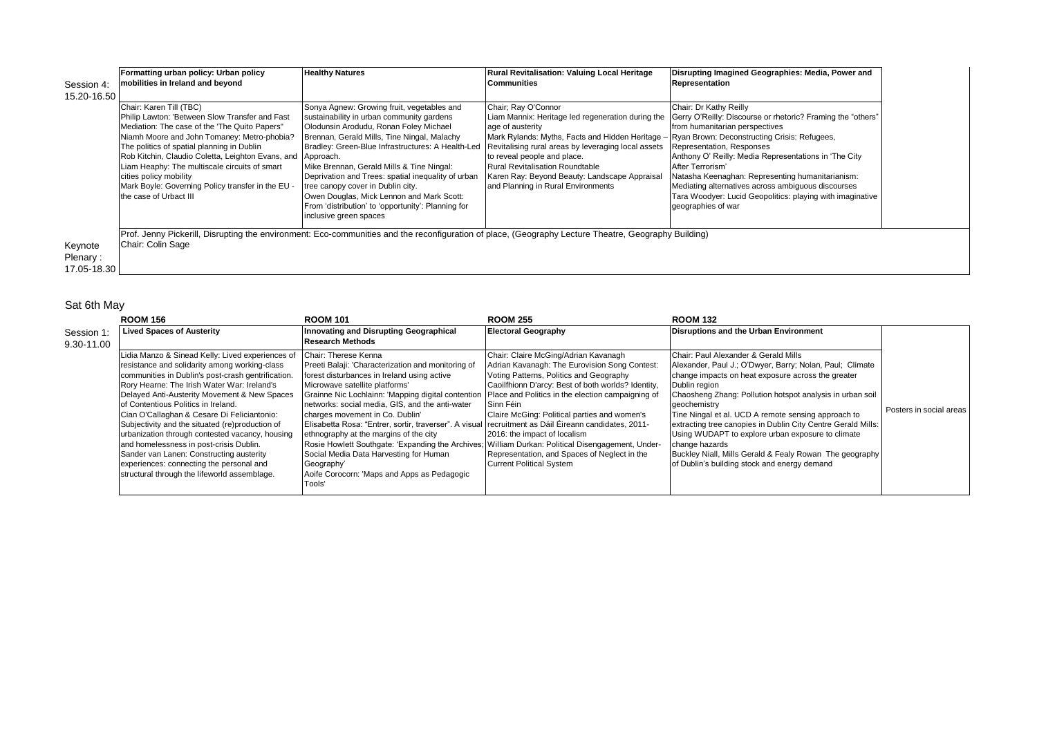|             | Formatting urban policy: Urban policy                       | <b>Healthy Natures</b>                                                                                | Rural Revitalisation: Valuing Local Heritage                                                                                                         | Disrupting Imagined Geographies: Media, Power and                                                             |
|-------------|-------------------------------------------------------------|-------------------------------------------------------------------------------------------------------|------------------------------------------------------------------------------------------------------------------------------------------------------|---------------------------------------------------------------------------------------------------------------|
| Session 4:  | mobilities in Ireland and beyond                            |                                                                                                       | <b>Communities</b>                                                                                                                                   | Representation                                                                                                |
| 15.20-16.50 |                                                             |                                                                                                       |                                                                                                                                                      |                                                                                                               |
|             | Chair: Karen Till (TBC)                                     | Sonya Agnew: Growing fruit, vegetables and                                                            | Chair; Ray O'Connor                                                                                                                                  | Chair: Dr Kathy Reilly                                                                                        |
|             | Philip Lawton: 'Between Slow Transfer and Fast              | sustainability in urban community gardens                                                             |                                                                                                                                                      | Liam Mannix: Heritage led regeneration during the Gerry O'Reilly: Discourse or rhetoric? Framing the "others" |
|             | Mediation: The case of the 'The Quito Papers"               | Olodunsin Arodudu, Ronan Foley Michael                                                                | age of austerity                                                                                                                                     | from humanitarian perspectives                                                                                |
|             | Niamh Moore and John Tomaney: Metro-phobia?                 | Brennan, Gerald Mills, Tine Ningal, Malachy                                                           | Mark Rylands: Myths, Facts and Hidden Heritage - Ryan Brown: Deconstructing Crisis: Refugees,                                                        |                                                                                                               |
|             | The politics of spatial planning in Dublin                  | Bradley: Green-Blue Infrastructures: A Health-Led Revitalising rural areas by leveraging local assets |                                                                                                                                                      | Representation, Responses                                                                                     |
|             | Rob Kitchin, Claudio Coletta, Leighton Evans, and Approach. |                                                                                                       | to reveal people and place.                                                                                                                          | Anthony O' Reilly: Media Representations in 'The City                                                         |
|             | Liam Heaphy: The multiscale circuits of smart               | Mike Brennan, Gerald Mills & Tine Ningal:                                                             | <b>Rural Revitalisation Roundtable</b>                                                                                                               | After Terrorism'                                                                                              |
|             | cities policy mobility                                      | Deprivation and Trees: spatial inequality of urban                                                    | Karen Ray: Beyond Beauty: Landscape Appraisal                                                                                                        | Natasha Keenaghan: Representing humanitarianism:                                                              |
|             | Mark Boyle: Governing Policy transfer in the EU -           | tree canopy cover in Dublin city.                                                                     | and Planning in Rural Environments                                                                                                                   | Mediating alternatives across ambiguous discourses                                                            |
|             | the case of Urbact III                                      | Owen Douglas, Mick Lennon and Mark Scott:                                                             |                                                                                                                                                      | Tara Woodyer: Lucid Geopolitics: playing with imaginative                                                     |
|             |                                                             | From 'distribution' to 'opportunity': Planning for<br>inclusive green spaces                          |                                                                                                                                                      | geographies of war                                                                                            |
|             |                                                             |                                                                                                       |                                                                                                                                                      |                                                                                                               |
|             |                                                             |                                                                                                       | Prof. Jenny Pickerill, Disrupting the environment: Eco-communities and the reconfiguration of place, (Geography Lecture Theatre, Geography Building) |                                                                                                               |
| Keynote     | Chair: Colin Sage                                           |                                                                                                       |                                                                                                                                                      |                                                                                                               |
| Plenary:    |                                                             |                                                                                                       |                                                                                                                                                      |                                                                                                               |
| 17.05-18.30 |                                                             |                                                                                                       |                                                                                                                                                      |                                                                                                               |

## Sat 6th May

|            | <b>ROOM 156</b>                                    | <b>ROOM 101</b>                                                                                        | <b>ROOM 255</b>                                    | <b>ROOM 132</b>                                              |                         |
|------------|----------------------------------------------------|--------------------------------------------------------------------------------------------------------|----------------------------------------------------|--------------------------------------------------------------|-------------------------|
| Session 1  | <b>Lived Spaces of Austerity</b>                   | Innovating and Disrupting Geographical                                                                 | <b>Electoral Geography</b>                         | <b>Disruptions and the Urban Environment</b>                 |                         |
| 9.30-11.00 |                                                    | <b>Research Methods</b>                                                                                |                                                    |                                                              |                         |
|            | Lidia Manzo & Sinead Kelly: Lived experiences of   | Chair: Therese Kenna                                                                                   | Chair: Claire McGing/Adrian Kavanagh               | Chair: Paul Alexander & Gerald Mills                         |                         |
|            | resistance and solidarity among working-class      | Preeti Balaji: 'Characterization and monitoring of                                                     | Adrian Kavanagh: The Eurovision Song Contest:      | Alexander, Paul J.; O'Dwyer, Barry; Nolan, Paul; Climate     |                         |
|            | communities in Dublin's post-crash gentrification. | forest disturbances in Ireland using active                                                            | Voting Patterns, Politics and Geography            | change impacts on heat exposure across the greater           |                         |
|            | Rory Hearne: The Irish Water War: Ireland's        | Microwave satellite platforms'                                                                         | Caoilfhionn D'arcy: Best of both worlds? Identity, | Dublin region                                                |                         |
|            | Delayed Anti-Austerity Movement & New Spaces       | Grainne Nic Lochlainn: 'Mapping digital contention   Place and Politics in the election campaigning of |                                                    | Chaosheng Zhang: Pollution hotspot analysis in urban soil    |                         |
|            | lof Contentious Politics in Ireland.               | networks: social media, GIS, and the anti-water                                                        | Sinn Féin                                          | geochemistry                                                 | Posters in social areas |
|            | Cian O'Callaghan & Cesare Di Feliciantonio:        | charges movement in Co. Dublin'                                                                        | Claire McGing: Political parties and women's       | Tine Ningal et al. UCD A remote sensing approach to          |                         |
|            | Subjectivity and the situated (re)production of    | Elisabetta Rosa: "Entrer, sortir, traverser". A visual recruitment as Dáil Éireann candidates, 2011-   |                                                    | extracting tree canopies in Dublin City Centre Gerald Mills: |                         |
|            | urbanization through contested vacancy, housing    | ethnography at the margins of the city                                                                 | 2016: the impact of localism                       | Using WUDAPT to explore urban exposure to climate            |                         |
|            | and homelessness in post-crisis Dublin.            | Rosie Howlett Southgate: 'Expanding the Archives; William Durkan: Political Disengagement, Under-      |                                                    | change hazards                                               |                         |
|            | Sander van Lanen: Constructing austerity           | Social Media Data Harvesting for Human                                                                 | Representation, and Spaces of Neglect in the       | Buckley Niall, Mills Gerald & Fealy Rowan The geography      |                         |
|            | experiences: connecting the personal and           | Geography'                                                                                             | <b>Current Political System</b>                    | of Dublin's building stock and energy demand                 |                         |
|            | structural through the lifeworld assemblage.       | Aoife Corocorn: 'Maps and Apps as Pedagogic                                                            |                                                    |                                                              |                         |
|            |                                                    | Tools'                                                                                                 |                                                    |                                                              |                         |